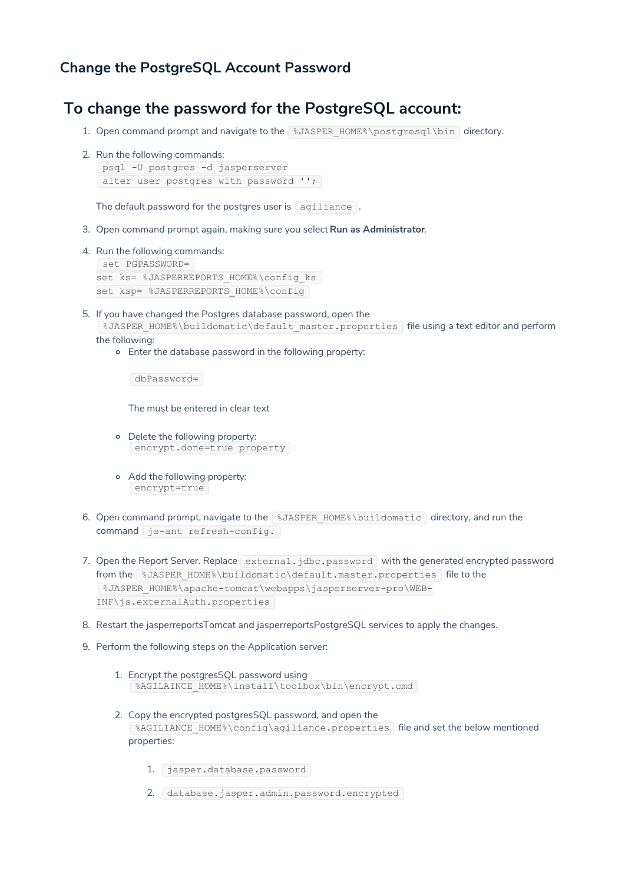## **Change the PostgreSQL Account Password**

## **To change the password for the PostgreSQL account:**

- 1. Open command prompt and navigate to the 8JASPER\_HOME%\postgresql\bin directory.
- 2. Run the following commands:

```
psql -U postgres -d jasperserver
alter user postgres with password '';
```
The default password for the postgres user is agiliance.

- 3. Open command prompt again, making sure you select **Run as Administrator**.
- 4. Run the following commands: set PGPASSWORD= set ks= %JASPERREPORTS HOME%\config ks set ksp= %JASPERREPORTS HOME%\config
- 5. If you have changed the Postgres database password, open the %JASPER\_HOME%\buildomatic\default\_master.properties | file using a text editor and perform

the following:

Enter the database password in the following property:

dbPassword=

The must be entered in clear text

- Delete the following property: encrypt.done=true property
- Add the following property: encrypt=true
- 6. Open command prompt, navigate to the \$JASPER\_HOME\$\buildomatic directory, and run the command js-ant refresh-config.
- 7. Open the Report Server. Replace external.jdbc.password with the generated encrypted password from the %JASPER\_HOME%\buildomatic\default.master.properties file to the %JASPER\_HOME%\apache-tomcat\webapps\jasperserver-pro\WEB-INF\js.externalAuth.properties
- 8. Restart the jasperreportsTomcat and jasperreportsPostgreSQL services to apply the changes.
- 9. Perform the following steps on the Application server:
	- 1. Encrypt the postgresSQL password using %AGILAINCE\_HOME%\install\toolbox\bin\encrypt.cmd
	- 2. Copy the encrypted postgresSQL password, and open the %AGILIANCE\_HOME%\config\agiliance.properties file and set the below mentioned properties:
		- 1. jasper.database.password
		- 2. database.jasper.admin.password.encrypted